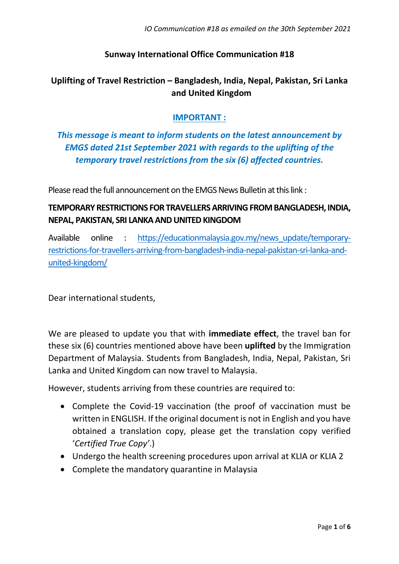*IO Communication #18 as emailed on the 30th September 2021*

### **Sunway International Office Communication #18**

# **Uplifting of Travel Restriction – Bangladesh, India, Nepal, Pakistan, Sri Lanka and United Kingdom**

### **IMPORTANT :**

*This message is meant to inform students on the latest announcement by EMGS dated 21st September 2021 with regards to the uplifting of the temporary travel restrictions from the six (6) affected countries.*

Please read the full announcement on the EMGS News Bulletin at this link :

## **TEMPORARY RESTRICTIONS FOR TRAVELLERS ARRIVING FROM BANGLADESH, INDIA, NEPAL, PAKISTAN, SRI LANKA AND UNITED KINGDOM**

Available online : [https://educationmalaysia.gov.my/news\\_update/temporary](https://educationmalaysia.gov.my/news_update/temporary-restrictions-for-travellers-arriving-from-bangladesh-india-nepal-pakistan-sri-lanka-and-united-kingdom/)[restrictions-for-travellers-arriving-from-bangladesh-india-nepal-pakistan-sri-lanka-and](https://educationmalaysia.gov.my/news_update/temporary-restrictions-for-travellers-arriving-from-bangladesh-india-nepal-pakistan-sri-lanka-and-united-kingdom/)[united-kingdom/](https://educationmalaysia.gov.my/news_update/temporary-restrictions-for-travellers-arriving-from-bangladesh-india-nepal-pakistan-sri-lanka-and-united-kingdom/)

Dear international students,

We are pleased to update you that with **immediate effect**, the travel ban for these six (6) countries mentioned above have been **uplifted** by the Immigration Department of Malaysia. Students from Bangladesh, India, Nepal, Pakistan, Sri Lanka and United Kingdom can now travel to Malaysia.

However, students arriving from these countries are required to:

- Complete the Covid-19 vaccination (the proof of vaccination must be written in ENGLISH. If the original document is not in English and you have obtained a translation copy, please get the translation copy verified '*Certified True Copy'*.)
- Undergo the health screening procedures upon arrival at KLIA or KLIA 2
- Complete the mandatory quarantine in Malaysia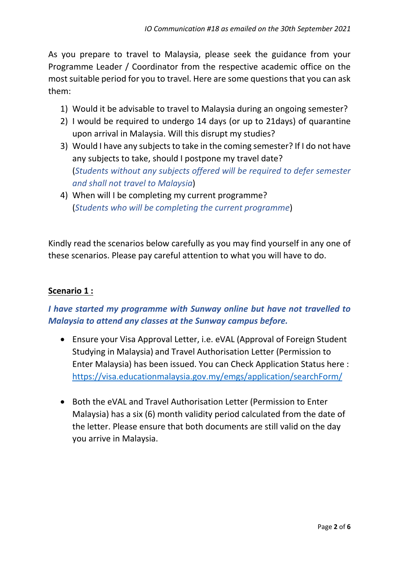As you prepare to travel to Malaysia, please seek the guidance from your Programme Leader / Coordinator from the respective academic office on the most suitable period for you to travel. Here are some questions that you can ask them:

- 1) Would it be advisable to travel to Malaysia during an ongoing semester?
- 2) I would be required to undergo 14 days (or up to 21days) of quarantine upon arrival in Malaysia. Will this disrupt my studies?
- 3) Would I have any subjects to take in the coming semester? If I do not have any subjects to take, should I postpone my travel date? (*Students without any subjects offered will be required to defer semester and shall not travel to Malaysia*)
- 4) When will I be completing my current programme? (*Students who will be completing the current programme*)

Kindly read the scenarios below carefully as you may find yourself in any one of these scenarios. Please pay careful attention to what you will have to do.

### **Scenario 1 :**

# *I have started my programme with Sunway online but have not travelled to Malaysia to attend any classes at the Sunway campus before.*

- Ensure your Visa Approval Letter, i.e. eVAL (Approval of Foreign Student Studying in Malaysia) and Travel Authorisation Letter (Permission to Enter Malaysia) has been issued. You can Check Application Status here : <https://visa.educationmalaysia.gov.my/emgs/application/searchForm/>
- Both the eVAL and Travel Authorisation Letter (Permission to Enter Malaysia) has a six (6) month validity period calculated from the date of the letter. Please ensure that both documents are still valid on the day you arrive in Malaysia.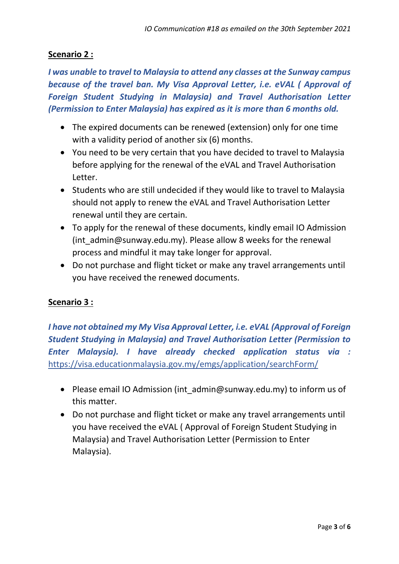### **Scenario 2 :**

*I was unable to travel to Malaysia to attend any classes at the Sunway campus because of the travel ban. My Visa Approval Letter, i.e. eVAL ( Approval of Foreign Student Studying in Malaysia) and Travel Authorisation Letter (Permission to Enter Malaysia) has expired as it is more than 6 months old.* 

- The expired documents can be renewed (extension) only for one time with a validity period of another six (6) months.
- You need to be very certain that you have decided to travel to Malaysia before applying for the renewal of the eVAL and Travel Authorisation Letter.
- Students who are still undecided if they would like to travel to Malaysia should not apply to renew the eVAL and Travel Authorisation Letter renewal until they are certain.
- To apply for the renewal of these documents, kindly email IO Admission (int\_admin@sunway.edu.my). Please allow 8 weeks for the renewal process and mindful it may take longer for approval.
- Do not purchase and flight ticket or make any travel arrangements until you have received the renewed documents.

### **Scenario 3 :**

*I have not obtained my My Visa Approval Letter, i.e. eVAL (Approval of Foreign Student Studying in Malaysia) and Travel Authorisation Letter (Permission to Enter Malaysia). I have already checked application status via :*  <https://visa.educationmalaysia.gov.my/emgs/application/searchForm/>

- Please email IO Admission (int admin@sunway.edu.my) to inform us of this matter.
- Do not purchase and flight ticket or make any travel arrangements until you have received the eVAL ( Approval of Foreign Student Studying in Malaysia) and Travel Authorisation Letter (Permission to Enter Malaysia).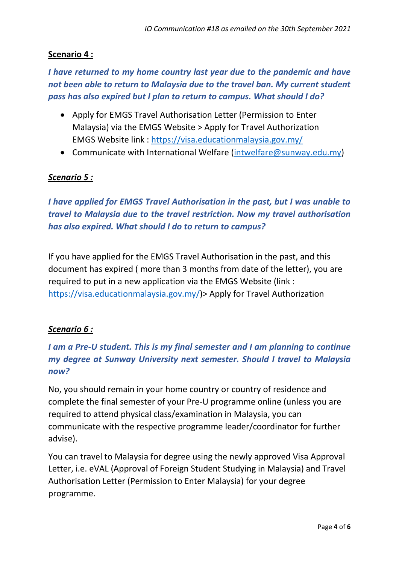### **Scenario 4 :**

# *I have returned to my home country last year due to the pandemic and have not been able to return to Malaysia due to the travel ban. My current student pass has also expired but I plan to return to campus. What should I do?*

- Apply for EMGS Travel Authorisation Letter (Permission to Enter Malaysia) via the EMGS Website > Apply for Travel Authorization EMGS Website link :<https://visa.educationmalaysia.gov.my/>
- Communicate with International Welfare [\(intwelfare@sunway.edu.my\)](mailto:intwelfare@sunway.edu.my)

### *Scenario 5 :*

*I have applied for EMGS Travel Authorisation in the past, but I was unable to travel to Malaysia due to the travel restriction. Now my travel authorisation has also expired. What should I do to return to campus?*

If you have applied for the EMGS Travel Authorisation in the past, and this document has expired ( more than 3 months from date of the letter), you are required to put in a new application via the EMGS Website (link : [https://visa.educationmalaysia.gov.my/\)](https://visa.educationmalaysia.gov.my/)> Apply for Travel Authorization

#### *Scenario 6 :*

# *I am a Pre-U student. This is my final semester and I am planning to continue my degree at Sunway University next semester. Should I travel to Malaysia now?*

No, you should remain in your home country or country of residence and complete the final semester of your Pre-U programme online (unless you are required to attend physical class/examination in Malaysia, you can communicate with the respective programme leader/coordinator for further advise).

You can travel to Malaysia for degree using the newly approved Visa Approval Letter, i.e. eVAL (Approval of Foreign Student Studying in Malaysia) and Travel Authorisation Letter (Permission to Enter Malaysia) for your degree programme.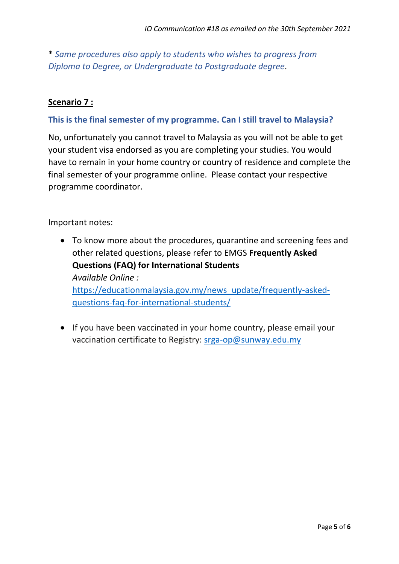\* *Same procedures also apply to students who wishes to progress from Diploma to Degree, or Undergraduate to Postgraduate degree*.

#### **Scenario 7 :**

#### **This is the final semester of my programme. Can I still travel to Malaysia?**

No, unfortunately you cannot travel to Malaysia as you will not be able to get your student visa endorsed as you are completing your studies. You would have to remain in your home country or country of residence and complete the final semester of your programme online. Please contact your respective programme coordinator.

Important notes:

- To know more about the procedures, quarantine and screening fees and other related questions, please refer to EMGS **Frequently Asked Questions (FAQ) for International Students**  *Available Online :*  [https://educationmalaysia.gov.my/news\\_update/frequently-asked](https://educationmalaysia.gov.my/news_update/frequently-asked-questions-faq-for-international-students/)[questions-faq-for-international-students/](https://educationmalaysia.gov.my/news_update/frequently-asked-questions-faq-for-international-students/)
- If you have been vaccinated in your home country, please email your vaccination certificate to Registry: [srga-op@sunway.edu.my](mailto:srga-op@sunway.edu.my)